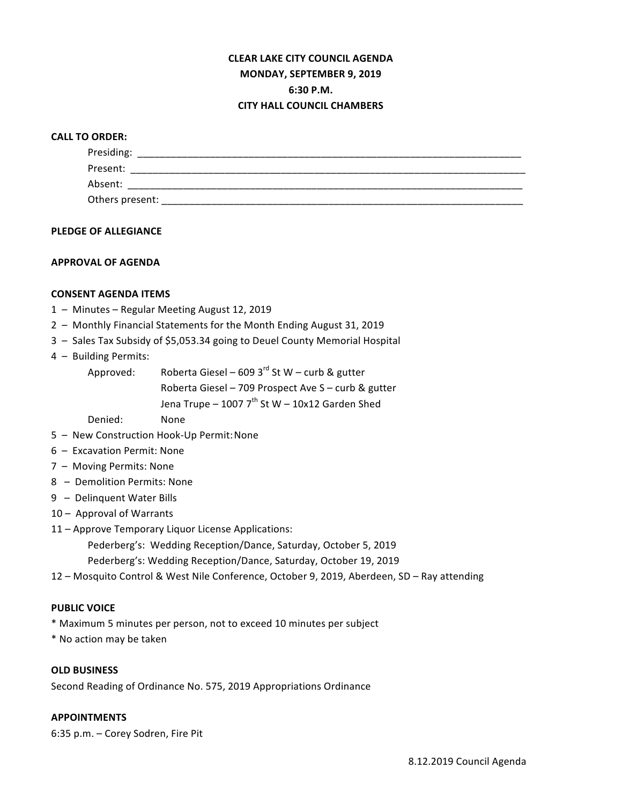# **CLEAR LAKE CITY COUNCIL AGENDA MONDAY, SEPTEMBER 9, 2019 6:30 P.M. CITY HALL COUNCIL CHAMBERS**

### **CALL TO ORDER:**

| Presiding:      |  |  |
|-----------------|--|--|
| Present:        |  |  |
| Absent:         |  |  |
| Others present: |  |  |

#### **PLEDGE OF ALLEGIANCE**

### **APPROVAL OF AGENDA**

### **CONSENT AGENDA ITEMS**

- 1 Minutes Regular Meeting August 12, 2019
- 2 Monthly Financial Statements for the Month Ending August 31, 2019
- 3 Sales Tax Subsidy of \$5,053.34 going to Deuel County Memorial Hospital
- 4 Building Permits:

| Approved: | Roberta Giesel – 609 3 $^{rd}$ St W – curb & gutter |
|-----------|-----------------------------------------------------|
|           | Roberta Giesel - 709 Prospect Ave S - curb & gutter |
|           | Jena Trupe - 1007 $7^{th}$ St W - 10x12 Garden Shed |

Denied: None

- 5 New Construction Hook-Up Permit: None
- 6 Excavation Permit: None
- 7 Moving Permits: None
- 8 Demolition Permits: None
- 9 Delinquent Water Bills
- 10 Approval of Warrants
- 11 Approve Temporary Liquor License Applications:
	- Pederberg's: Wedding Reception/Dance, Saturday, October 5, 2019
	- Pederberg's: Wedding Reception/Dance, Saturday, October 19, 2019
- 12 Mosquito Control & West Nile Conference, October 9, 2019, Aberdeen, SD Ray attending

#### **PUBLIC VOICE**

- \* Maximum 5 minutes per person, not to exceed 10 minutes per subject
- \* No action may be taken

### **OLD BUSINESS**

Second Reading of Ordinance No. 575, 2019 Appropriations Ordinance

# **APPOINTMENTS**

6:35 p.m. - Corey Sodren, Fire Pit